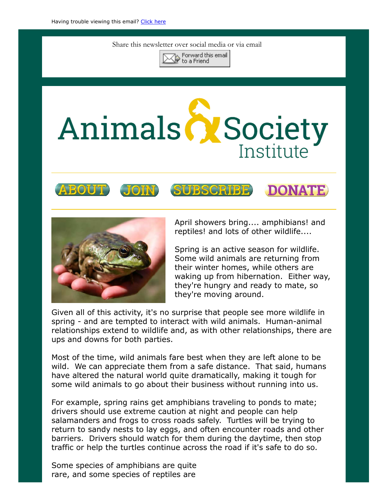Share this newsletter over social media or via email



## Animals & Society Institute





April showers bring.... amphibians! and reptiles! and lots of other wildlife....

Spring is an active season for wildlife. Some wild animals are returning from their winter homes, while others are waking up from hibernation. Either way, they're hungry and ready to mate, so they're moving around.

Given all of this activity, it's no surprise that people see more wildlife in spring - and are tempted to interact with wild animals. Human-animal relationships extend to wildlife and, as with other relationships, there are ups and downs for both parties.

Most of the time, wild animals fare best when they are left alone to be wild. We can appreciate them from a safe distance. That said, humans have altered the natural world quite dramatically, making it tough for some wild animals to go about their business without running into us.

For example, spring rains get amphibians traveling to ponds to mate; drivers should use extreme caution at night and people can help salamanders and frogs to cross roads safely. Turtles will be trying to return to sandy nests to lay eggs, and often encounter roads and other barriers. Drivers should watch for them during the daytime, then stop traffic or help the turtles continue across the road if it's safe to do so.

Some species of amphibians are quite rare, and some species of reptiles are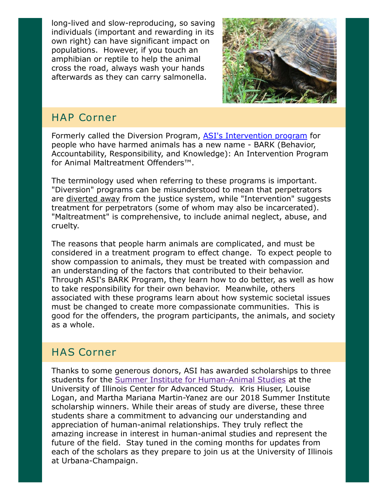long-lived and slow-reproducing, so saving individuals (important and rewarding in its own right) can have significant impact on populations. However, if you touch an amphibian or reptile to help the animal cross the road, always wash your hands afterwards as they can carry salmonella.



## HAP Corner

Formerly called the Diversion Program, [ASI's Intervention program](https://www.animalsandsociety.org/helping-animals-and-people/intervention-programs/) for people who have harmed animals has a new name - BARK (Behavior, Accountability, Responsibility, and Knowledge): An Intervention Program for Animal Maltreatment Offenders™.

The terminology used when referring to these programs is important. "Diversion" programs can be misunderstood to mean that perpetrators are diverted away from the justice system, while "Intervention" suggests treatment for perpetrators (some of whom may also be incarcerated). "Maltreatment" is comprehensive, to include animal neglect, abuse, and cruelty.

The reasons that people harm animals are complicated, and must be considered in a treatment program to effect change. To expect people to show compassion to animals, they must be treated with compassion and an understanding of the factors that contributed to their behavior. Through ASI's BARK Program, they learn how to do better, as well as how to take responsibility for their own behavior. Meanwhile, others associated with these programs learn about how systemic societal issues must be changed to create more compassionate communities. This is good for the offenders, the program participants, the animals, and society as a whole.

## HAS Corner

Thanks to some generous donors, ASI has awarded scholarships to three students for the [Summer Institute for Human-Animal Studies](https://www.animalsandsociety.org/human-animal-studies/asi-uiuc-summer-institute-human-animal-studies/) at the University of Illinois Center for Advanced Study. Kris Hiuser, Louise Logan, and Martha Mariana Martin-Yanez are our 2018 Summer Institute scholarship winners. While their areas of study are diverse, these three students share a commitment to advancing our understanding and appreciation of human-animal relationships. They truly reflect the amazing increase in interest in human-animal studies and represent the future of the field. Stay tuned in the coming months for updates from each of the scholars as they prepare to join us at the University of Illinois at Urbana-Champaign.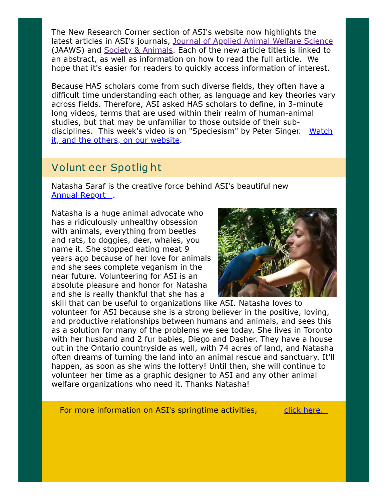The New Research Corner section of ASI's website now highlights the latest articles in ASI's journals, [Journal of Applied Animal Welfare Science](https://www.animalsandsociety.org/category/jaaws/) (JAAWS) and [Society & Animals.](https://www.animalsandsociety.org/category/society-animals/) Each of the new article titles is linked to an abstract, as well as information on how to read the full article. We hope that it's easier for readers to quickly access information of interest.

Because HAS scholars come from such diverse fields, they often have a difficult time understanding each other, as language and key theories vary across fields. Therefore, ASI asked HAS scholars to define, in 3-minute long videos, terms that are used within their realm of human-animal studies, but that may be unfamiliar to those outside of their sub[disciplines. This week's video is on "Speciesism" by Peter Singer. Watch](https://www.animalsandsociety.org/human-animal-studies/defining-human-animal-studies-an-asi-video-project/) it, and the others, on our website.

## Volunt eer Spotlig ht

Natasha Saraf is the creative force behind ASI's beautiful new [Annual Report](https://www.animalsandsociety.org/wp-content/uploads/2018/03/2017-Animals-Society-Institute-Annual-Report-WEB.pdf).

Natasha is a huge animal advocate who has a ridiculously unhealthy obsession with animals, everything from beetles and rats, to doggies, deer, whales, you name it. She stopped eating meat 9 years ago because of her love for animals and she sees complete veganism in the near future. Volunteering for ASI is an absolute pleasure and honor for Natasha and she is really thankful that she has a



skill that can be useful to organizations like ASI. Natasha loves to volunteer for ASI because she is a strong believer in the positive, loving, and productive relationships between humans and animals, and sees this as a solution for many of the problems we see today. She lives in Toronto with her husband and 2 fur babies, Diego and Dasher. They have a house out in the Ontario countryside as well, with 74 acres of land, and Natasha often dreams of turning the land into an animal rescue and sanctuary. It'll happen, as soon as she wins the lottery! Until then, she will continue to volunteer her time as a graphic designer to ASI and any other animal welfare organizations who need it. Thanks Natasha!

For more information on ASI's springtime activities, elick here.